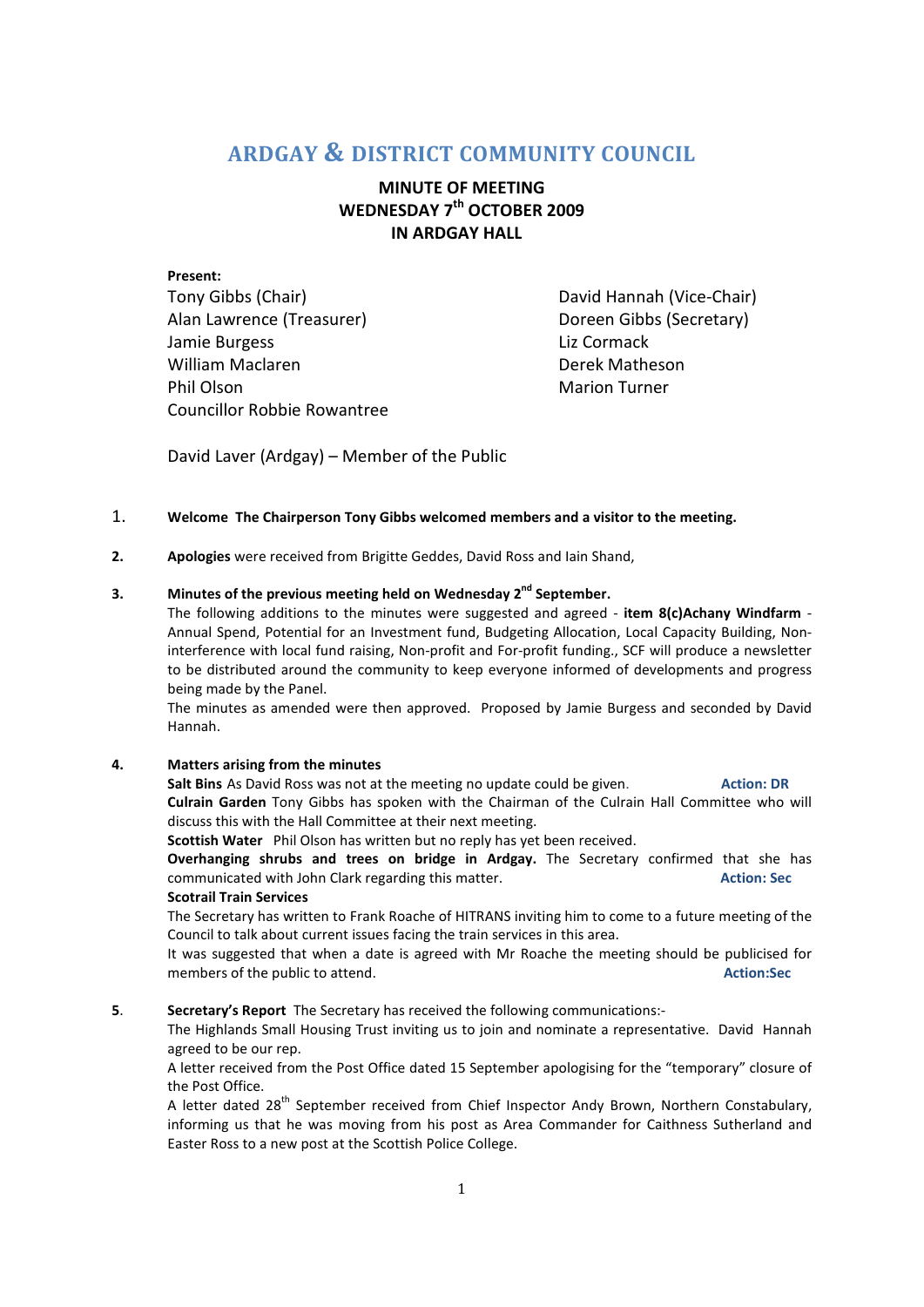# **ARDGAY & DISTRICT COMMUNITY COUNCIL**

# **MINUTE OF MEETING WEDNESDAY 7th OCTOBER 2009 IN ARDGAY HALL**

**Present:**  Tony Gibbs (Chair) David Hannah (Vice-Chair) Alan Lawrence (Treasurer) Doreen Gibbs (Secretary) Jamie Burgess **Liz Cormack** William Maclaren **Derek Matheson** Phil Olson **Marion Turner** Marion Turner Councillor Robbie Rowantree

David Laver (Ardgay) – Member of the Public

# 1. **Welcome The Chairperson Tony Gibbs welcomed members and a visitor to the meeting.**

**2. Apologies** were received from Brigitte Geddes, David Ross and Iain Shand,

# **3. Minutes of the previous meeting held on Wednesday 2nd September.**

The following additions to the minutes were suggested and agreed - item 8(c)Achany Windfarm -Annual Spend, Potential for an Investment fund, Budgeting Allocation, Local Capacity Building, Noninterference with local fund raising, Non-profit and For-profit funding., SCF will produce a newsletter to be distributed around the community to keep everyone informed of developments and progress being made by the Panel.

The minutes as amended were then approved. Proposed by Jamie Burgess and seconded by David Hannah.

# **4. Matters arising from the minutes**

**Salt Bins** As David Ross was not at the meeting no update could be given. **Action: DR Action: DR Culrain Garden** Tony Gibbs has spoken with the Chairman of the Culrain Hall Committee who will discuss this with the Hall Committee at their next meeting.

**Scottish Water** Phil Olson has written but no reply has yet been received.

**Overhanging shrubs and trees on bridge in Ardgay.** The Secretary confirmed that she has communicated with John Clark regarding this matter. **Action: Sec** *Action*: Sec

## **Scotrail Train Services**

The Secretary has written to Frank Roache of HITRANS inviting him to come to a future meeting of the Council to talk about current issues facing the train services in this area.

It was suggested that when a date is agreed with Mr Roache the meeting should be publicised for members of the public to attend. **Action:Sec** 

## **5**. **Secretary's Report** The Secretary has received the following communications:-

The Highlands Small Housing Trust inviting us to join and nominate a representative. David Hannah agreed to be our rep.

A letter received from the Post Office dated 15 September apologising for the "temporary" closure of the Post Office.

A letter dated 28<sup>th</sup> September received from Chief Inspector Andy Brown, Northern Constabulary, informing us that he was moving from his post as Area Commander for Caithness Sutherland and Easter Ross to a new post at the Scottish Police College.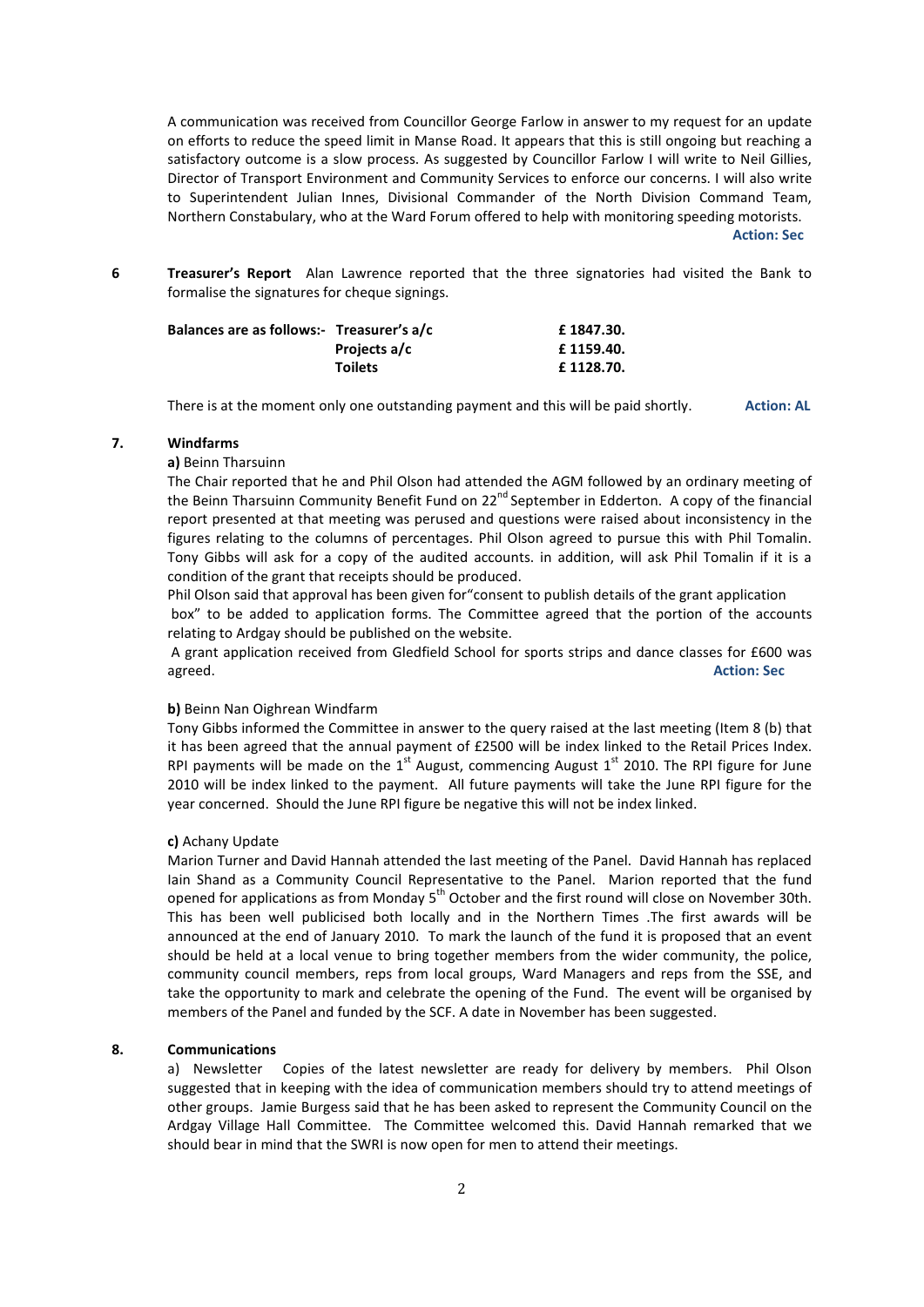A communication was received from Councillor George Farlow in answer to my request for an update on efforts to reduce the speed limit in Manse Road. It appears that this is still ongoing but reaching a satisfactory outcome is a slow process. As suggested by Councillor Farlow I will write to Neil Gillies, Director of Transport Environment and Community Services to enforce our concerns. I will also write to Superintendent Julian Innes, Divisional Commander of the North Division Command Team, Northern Constabulary, who at the Ward Forum offered to help with monitoring speeding motorists. **Action: Sec** 

**6 Treasurer's Report** Alan Lawrence reported that the three signatories had visited the Bank to formalise the signatures for cheque signings.

| Balances are as follows:- Treasurer's a/c |                | £1847.30. |
|-------------------------------------------|----------------|-----------|
|                                           | Projects a/c   | £1159.40. |
|                                           | <b>Toilets</b> | £1128.70. |

There is at the moment only one outstanding payment and this will be paid shortly. **Action: AL**

#### **7. Windfarms**

### **a)** Beinn Tharsuinn

The Chair reported that he and Phil Olson had attended the AGM followed by an ordinary meeting of the Beinn Tharsuinn Community Benefit Fund on  $22^{nd}$  September in Edderton. A copy of the financial report presented at that meeting was perused and questions were raised about inconsistency in the figures relating to the columns of percentages. Phil Olson agreed to pursue this with Phil Tomalin. Tony Gibbs will ask for a copy of the audited accounts. in addition, will ask Phil Tomalin if it is a condition of the grant that receipts should be produced.

Phil Olson said that approval has been given for"consent to publish details of the grant application box" to be added to application forms. The Committee agreed that the portion of the accounts relating to Ardgay should be published on the website.

 A grant application received from Gledfield School for sports strips and dance classes for £600 was agreed. **Action: Sec** 

#### **b)** Beinn Nan Oighrean Windfarm

Tony Gibbs informed the Committee in answer to the query raised at the last meeting (Item 8 (b) that it has been agreed that the annual payment of £2500 will be index linked to the Retail Prices Index. RPI payments will be made on the  $1<sup>st</sup>$  August, commencing August  $1<sup>st</sup>$  2010. The RPI figure for June 2010 will be index linked to the payment. All future payments will take the June RPI figure for the year concerned. Should the June RPI figure be negative this will not be index linked.

#### **c)** Achany Update

Marion Turner and David Hannah attended the last meeting of the Panel. David Hannah has replaced Iain Shand as a Community Council Representative to the Panel. Marion reported that the fund opened for applications as from Monday  $5<sup>th</sup>$  October and the first round will close on November 30th. This has been well publicised both locally and in the Northern Times .The first awards will be announced at the end of January 2010. To mark the launch of the fund it is proposed that an event should be held at a local venue to bring together members from the wider community, the police, community council members, reps from local groups, Ward Managers and reps from the SSE, and take the opportunity to mark and celebrate the opening of the Fund. The event will be organised by members of the Panel and funded by the SCF. A date in November has been suggested.

#### **8. Communications**

a) Newsletter Copies of the latest newsletter are ready for delivery by members. Phil Olson suggested that in keeping with the idea of communication members should try to attend meetings of other groups. Jamie Burgess said that he has been asked to represent the Community Council on the Ardgay Village Hall Committee. The Committee welcomed this. David Hannah remarked that we should bear in mind that the SWRI is now open for men to attend their meetings.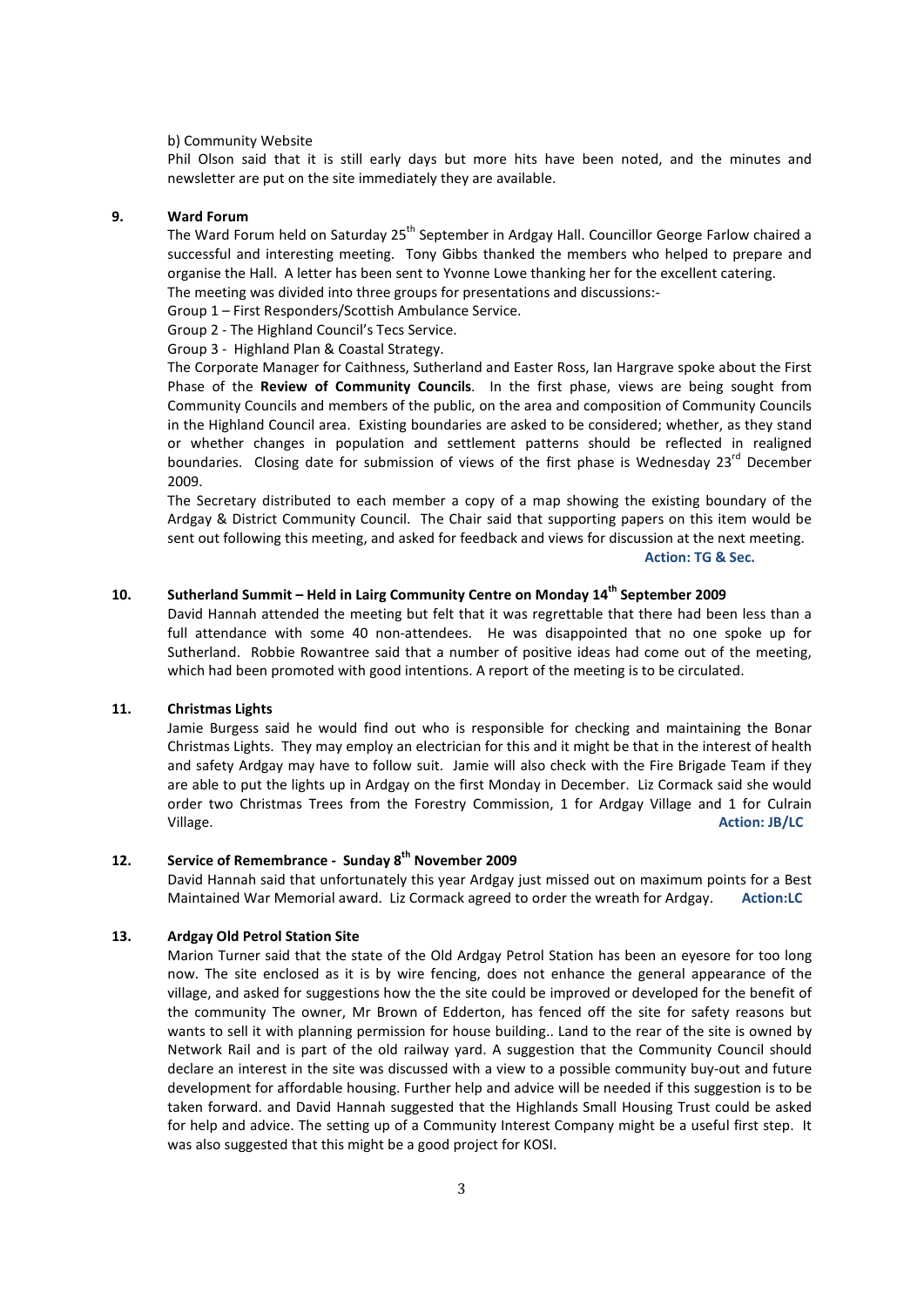#### b) Community Website

Phil Olson said that it is still early days but more hits have been noted, and the minutes and newsletter are put on the site immediately they are available.

### **9. Ward Forum**

The Ward Forum held on Saturday 25<sup>th</sup> September in Ardgay Hall. Councillor George Farlow chaired a successful and interesting meeting. Tony Gibbs thanked the members who helped to prepare and organise the Hall. A letter has been sent to Yvonne Lowe thanking her for the excellent catering. The meeting was divided into three groups for presentations and discussions:-

Group 1 – First Responders/Scottish Ambulance Service.

Group 2 - The Highland Council's Tecs Service.

#### Group 3 - Highland Plan & Coastal Strategy.

The Corporate Manager for Caithness, Sutherland and Easter Ross, Ian Hargrave spoke about the First Phase of the **Review of Community Councils**. In the first phase, views are being sought from Community Councils and members of the public, on the area and composition of Community Councils in the Highland Council area. Existing boundaries are asked to be considered; whether, as they stand or whether changes in population and settlement patterns should be reflected in realigned boundaries. Closing date for submission of views of the first phase is Wednesdav  $23^{rd}$  December 2009.

The Secretary distributed to each member a copy of a map showing the existing boundary of the Ardgay & District Community Council. The Chair said that supporting papers on this item would be sent out following this meeting, and asked for feedback and views for discussion at the next meeting.

 **Action: TG & Sec.** 

# **10. Sutherland Summit – Held in Lairg Community Centre on Monday 14th September 2009**

David Hannah attended the meeting but felt that it was regrettable that there had been less than a full attendance with some 40 non-attendees. He was disappointed that no one spoke up for Sutherland. Robbie Rowantree said that a number of positive ideas had come out of the meeting, which had been promoted with good intentions. A report of the meeting is to be circulated.

#### **11. Christmas Lights**

Jamie Burgess said he would find out who is responsible for checking and maintaining the Bonar Christmas Lights. They may employ an electrician for this and it might be that in the interest of health and safety Ardgay may have to follow suit. Jamie will also check with the Fire Brigade Team if they are able to put the lights up in Ardgay on the first Monday in December. Liz Cormack said she would order two Christmas Trees from the Forestry Commission, 1 for Ardgay Village and 1 for Culrain Village. **Action: JB/LC** 

# **12. Service of Remembrance - Sunday 8th November 2009**

David Hannah said that unfortunately this year Ardgay just missed out on maximum points for a Best Maintained War Memorial award. Liz Cormack agreed to order the wreath for Ardgay. **Action:LC** 

#### **13. Ardgay Old Petrol Station Site**

Marion Turner said that the state of the Old Ardgay Petrol Station has been an eyesore for too long now. The site enclosed as it is by wire fencing, does not enhance the general appearance of the village, and asked for suggestions how the the site could be improved or developed for the benefit of the community The owner, Mr Brown of Edderton, has fenced off the site for safety reasons but wants to sell it with planning permission for house building.. Land to the rear of the site is owned by Network Rail and is part of the old railway yard. A suggestion that the Community Council should declare an interest in the site was discussed with a view to a possible community buy-out and future development for affordable housing. Further help and advice will be needed if this suggestion is to be taken forward. and David Hannah suggested that the Highlands Small Housing Trust could be asked for help and advice. The setting up of a Community Interest Company might be a useful first step. It was also suggested that this might be a good project for KOSI.